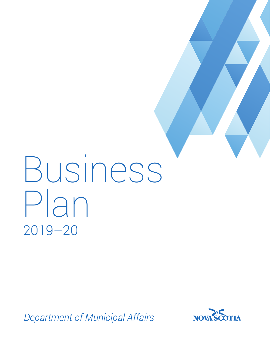# Business Plan 2019–20

*Department of Municipal Affairs*

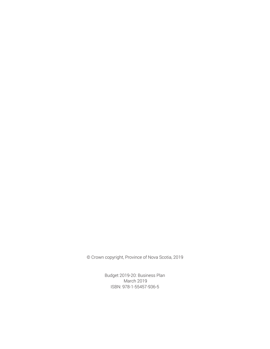© Crown copyright, Province of Nova Scotia, 2019

Budget 2019-20: Business Plan March 2019 ISBN: 978-1-55457-936-5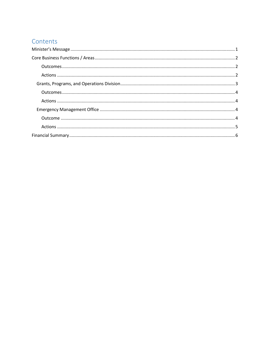## Contents

<span id="page-2-0"></span>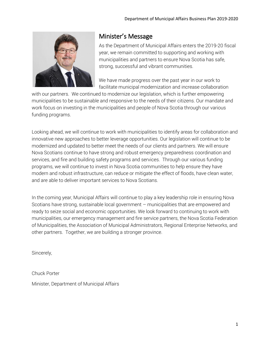

# Minister's Message

As the Department of Municipal Affairs enters the 2019-20 fiscal year, we remain committed to supporting and working with municipalities and partners to ensure Nova Scotia has safe, strong, successful and vibrant communities.

We have made progress over the past year in our work to facilitate municipal modernization and increase collaboration

with our partners. We continued to modernize our legislation, which is further empowering municipalities to be sustainable and responsive to the needs of their citizens. Our mandate and work focus on investing in the municipalities and people of Nova Scotia through our various funding programs.

Looking ahead, we will continue to work with municipalities to identify areas for collaboration and innovative new approaches to better leverage opportunities. Our legislation will continue to be modernized and updated to better meet the needs of our clients and partners. We will ensure Nova Scotians continue to have strong and robust emergency preparedness coordination and services, and fire and building safety programs and services. Through our various funding programs, we will continue to invest in Nova Scotia communities to help ensure they have modern and robust infrastructure, can reduce or mitigate the effect of floods, have clean water, and are able to deliver important services to Nova Scotians.

In the coming year, Municipal Affairs will continue to play a key leadership role in ensuring Nova Scotians have strong, sustainable local government – municipalities that are empowered and ready to seize social and economic opportunities. We look forward to continuing to work with municipalities, our emergency management and fire service partners, the Nova Scotia Federation of Municipalities, the Association of Municipal Administrators, Regional Enterprise Networks, and other partners. Together, we are building a stronger province.

Sincerely,

Chuck Porter Minister, Department of Municipal Affairs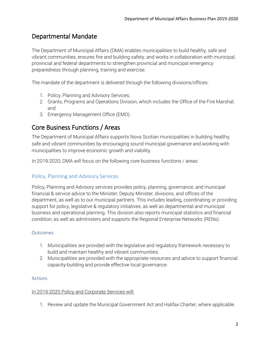## Departmental Mandate

The Department of Municipal Affairs (DMA) enables municipalities to build healthy, safe and vibrant communities, ensures fire and building safety, and works in collaboration with municipal, provincial and federal departments to strengthen provincial and municipal emergency preparedness through planning, training and exercise.

The mandate of the department is delivered through the following divisions/offices:

- 1. Policy, Planning and Advisory Services;
- 2. Grants, Programs and Operations Division, which includes the Office of the Fire Marshal; and
- 3. Emergency Management Office (EMO).

## <span id="page-4-0"></span>Core Business Functions / Areas

The Department of Municipal Affairs supports Nova Scotian municipalities in building healthy, safe and vibrant communities by encouraging sound municipal governance and working with municipalities to improve economic growth and viability.

In 2019-2020, DMA will focus on the following core business functions / areas:

## Policy, Planning and Advisory Services

Policy, Planning and Advisory services provides policy, planning, governance, and municipal financial & service advice to the Minister, Deputy Minister, divisions, and offices of the department, as well as to our municipal partners. This includes leading, coordinating or providing support for policy, legislative & regulatory initiatives, as well as departmental and municipal business and operational planning. This division also reports municipal statistics and financial condition, as well as administers and supports the Regional Enterprise Networks (RENs).

#### <span id="page-4-1"></span>**Outcomes**

- 1. Municipalities are provided with the legislative and regulatory framework necessary to build and maintain healthy and vibrant communities.
- 2. Municipalities are provided with the appropriate resources and advice to support financial capacity-building and provide effective local governance.

#### <span id="page-4-2"></span>Actions

#### In 2019-2020 Policy and Corporate Services will:

1. Review and update the Municipal Government Act and Halifax Charter, where applicable.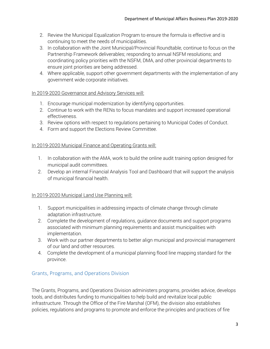- 2. Review the Municipal Equalization Program to ensure the formula is effective and is continuing to meet the needs of municipalities.
- 3. In collaboration with the Joint Municipal/Provincial Roundtable, continue to focus on the Partnership Framework deliverables; responding to annual NSFM resolutions; and coordinating policy priorities with the NSFM, DMA, and other provincial departments to ensure joint priorities are being addressed.
- 4. Where applicable, support other government departments with the implementation of any government wide corporate initiatives.

## In 2019-2020 Governance and Advisory Services will:

- 1. Encourage municipal modernization by identifying opportunities.
- 2. Continue to work with the RENs to focus mandates and support increased operational effectiveness.
- 3. Review options with respect to regulations pertaining to Municipal Codes of Conduct.
- 4. Form and support the Elections Review Committee.

#### In 2019-2020 Municipal Finance and Operating Grants will:

- 1. In collaboration with the AMA, work to build the online audit training option designed for municipal audit committees.
- 2. Develop an internal Financial Analysis Tool and Dashboard that will support the analysis of municipal financial health.

## In 2019-2020 Municipal Land Use Planning will:

- 1. Support municipalities in addressing impacts of climate change through climate adaptation infrastructure.
- 2. Complete the development of regulations, guidance documents and support programs associated with minimum planning requirements and assist municipalities with implementation.
- 3. Work with our partner departments to better align municipal and provincial management of our land and other resources.
- 4. Complete the development of a municipal planning flood line mapping standard for the province.

## <span id="page-5-0"></span>Grants, Programs, and Operations Division

The Grants, Programs, and Operations Division administers programs, provides advice, develops tools, and distributes funding to municipalities to help build and revitalize local public infrastructure. Through the Office of the Fire Marshal (OFM), the division also establishes policies, regulations and programs to promote and enforce the principles and practices of fire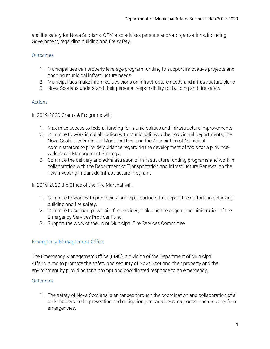and life safety for Nova Scotians. OFM also advises persons and/or organizations, including Government, regarding building and fire safety.

#### <span id="page-6-0"></span>**Outcomes**

- 1. Municipalities can properly leverage program funding to support innovative projects and ongoing municipal infrastructure needs.
- 2. Municipalities make informed decisions on infrastructure needs and infrastructure plans
- 3. Nova Scotians understand their personal responsibility for building and fire safety.

## <span id="page-6-1"></span>Actions

#### In 2019-2020 Grants & Programs will:

- 1. Maximize access to federal funding for municipalities and infrastructure improvements.
- 2. Continue to work in collaboration with Municipalities, other Provincial Departments, the Nova Scotia Federation of Municipalities, and the Association of Municipal Administrators to provide guidance regarding the development of tools for a provincewide Asset Management Strategy.
- 3. Continue the delivery and administration of infrastructure funding programs and work in collaboration with the Department of Transportation and Infrastructure Renewal on the new Investing in Canada Infrastructure Program.

## In 2019-2020 the Office of the Fire Marshal will:

- 1. Continue to work with provincial/municipal partners to support their efforts in achieving building and fire safety.
- 2. Continue to support provincial fire services, including the ongoing administration of the Emergency Services Provider Fund.
- 3. Support the work of the Joint Municipal Fire Services Committee.

## <span id="page-6-2"></span>Emergency Management Office

The Emergency Management Office (EMO), a division of the Department of Municipal Affairs, aims to promote the safety and security of Nova Scotians, their property and the environment by providing for a prompt and coordinated response to an emergency.

## <span id="page-6-3"></span>**Outcomes**

1. The safety of Nova Scotians is enhanced through the coordination and collaboration of all stakeholders in the prevention and mitigation, preparedness, response, and recovery from emergencies.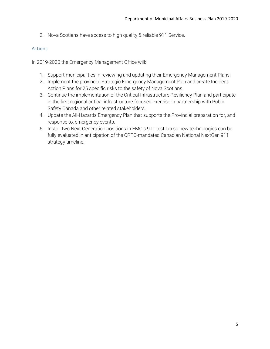2. Nova Scotians have access to high quality & reliable 911 Service.

#### <span id="page-7-0"></span>Actions

In 2019-2020 the Emergency Management Office will:

- 1. Support municipalities in reviewing and updating their Emergency Management Plans.
- 2. Implement the provincial Strategic Emergency Management Plan and create Incident Action Plans for 26 specific risks to the safety of Nova Scotians.
- 3. Continue the implementation of the Critical Infrastructure Resiliency Plan and participate in the first regional critical infrastructure-focused exercise in partnership with Public Safety Canada and other related stakeholders.
- 4. Update the All-Hazards Emergency Plan that supports the Provincial preparation for, and response to, emergency events.
- 5. Install two Next Generation positions in EMO's 911 test lab so new technologies can be fully evaluated in anticipation of the CRTC-mandated Canadian National NextGen 911 strategy timeline.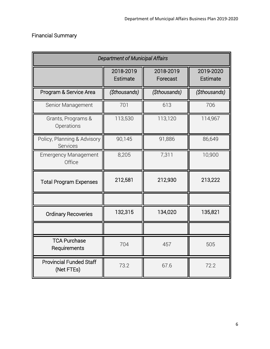# <span id="page-8-0"></span>Financial Summary

| <b>Department of Municipal Affairs</b>       |                       |                       |                       |  |
|----------------------------------------------|-----------------------|-----------------------|-----------------------|--|
|                                              | 2018-2019<br>Estimate | 2018-2019<br>Forecast | 2019-2020<br>Estimate |  |
| Program & Service Area                       | (\$thousands)         | (\$thousands)         | (\$thousands)         |  |
| Senior Management                            | 701                   | 613                   | 706                   |  |
| Grants, Programs &<br>Operations             | 113,530               | 113,120               | 114,967               |  |
| Policy, Planning & Advisory<br>Services      | 90,145                | 91,886                | 86,649                |  |
| <b>Emergency Management</b><br>Office        | 8,205                 | 7,311                 | 10,900                |  |
| <b>Total Program Expenses</b>                | 212,581               | 212,930               | 213,222               |  |
|                                              |                       |                       |                       |  |
| <b>Ordinary Recoveries</b>                   | 132,315               | 134,020               | 135,821               |  |
|                                              |                       |                       |                       |  |
| <b>TCA Purchase</b><br>Requirements          | 704                   | 457                   | 505                   |  |
| <b>Provincial Funded Staff</b><br>(Net FTEs) | 73.2                  | 67.6                  | 72.2                  |  |